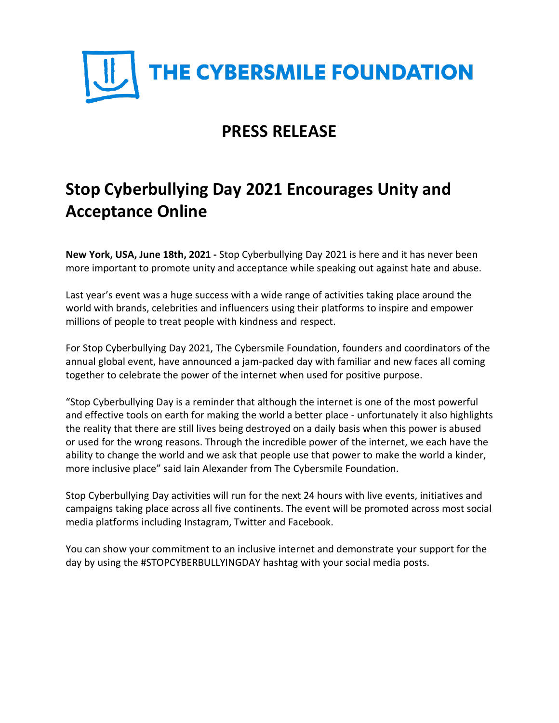

# **PRESS RELEASE**

# **Stop Cyberbullying Day 2021 Encourages Unity and Acceptance Online**

**New York, USA, June 18th, 2021 -** Stop Cyberbullying Day 2021 is here and it has never been more important to promote unity and acceptance while speaking out against hate and abuse.

Last year's event was a huge success with a wide range of activities taking place around the world with brands, celebrities and influencers using their platforms to inspire and empower millions of people to treat people with kindness and respect.

For Stop Cyberbullying Day 2021, The Cybersmile Foundation, founders and coordinators of the annual global event, have announced a jam-packed day with familiar and new faces all coming together to celebrate the power of the internet when used for positive purpose.

"Stop Cyberbullying Day is a reminder that although the internet is one of the most powerful and effective tools on earth for making the world a better place - unfortunately it also highlights the reality that there are still lives being destroyed on a daily basis when this power is abused or used for the wrong reasons. Through the incredible power of the internet, we each have the ability to change the world and we ask that people use that power to make the world a kinder, more inclusive place" said Iain Alexander from The Cybersmile Foundation.

Stop Cyberbullying Day activities will run for the next 24 hours with live events, initiatives and campaigns taking place across all five continents. The event will be promoted across most social media platforms including Instagram, Twitter and Facebook.

You can show your commitment to an inclusive internet and demonstrate your support for the day by using the #STOPCYBERBULLYINGDAY hashtag with your social media posts.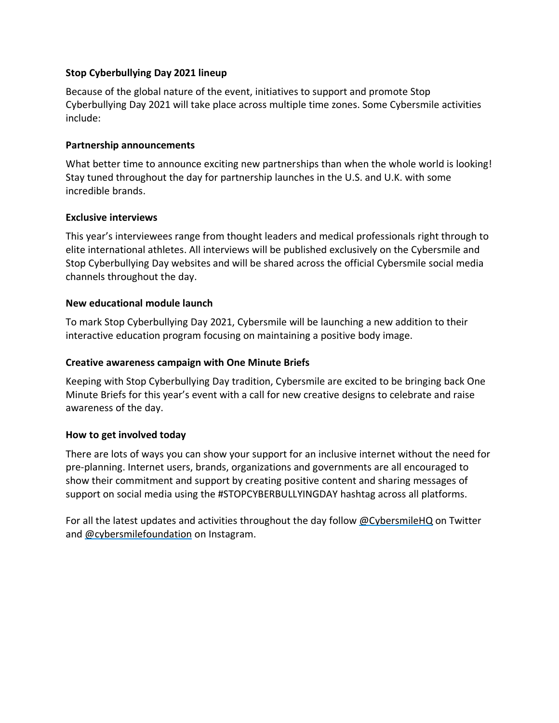# **Stop Cyberbullying Day 2021 lineup**

Because of the global nature of the event, initiatives to support and promote Stop Cyberbullying Day 2021 will take place across multiple time zones. Some Cybersmile activities include:

# **Partnership announcements**

What better time to announce exciting new partnerships than when the whole world is looking! Stay tuned throughout the day for partnership launches in the U.S. and U.K. with some incredible brands.

# **Exclusive interviews**

This year's interviewees range from thought leaders and medical professionals right through to elite international athletes. All interviews will be published exclusively on the Cybersmile and Stop Cyberbullying Day websites and will be shared across the official Cybersmile social media channels throughout the day.

# **New educational module launch**

To mark Stop Cyberbullying Day 2021, Cybersmile will be launching a new addition to their interactive education program focusing on maintaining a positive body image.

# **Creative awareness campaign with One Minute Briefs**

Keeping with Stop Cyberbullying Day tradition, Cybersmile are excited to be bringing back One Minute Briefs for this year's event with a call for new creative designs to celebrate and raise awareness of the day.

#### **How to get involved today**

There are lots of ways you can show your support for an inclusive internet without the need for pre-planning. Internet users, brands, organizations and governments are all encouraged to show their commitment and support by creating positive content and sharing messages of support on social media using the #STOPCYBERBULLYINGDAY hashtag across all platforms.

For all the latest updates and activities throughout the day follow [@CybersmileHQ](https://www.twitter.com/cybersmilehq) on Twitter and [@cybersmilefoundation](https://www.instagram.com/cybersmilefoundation) on Instagram.